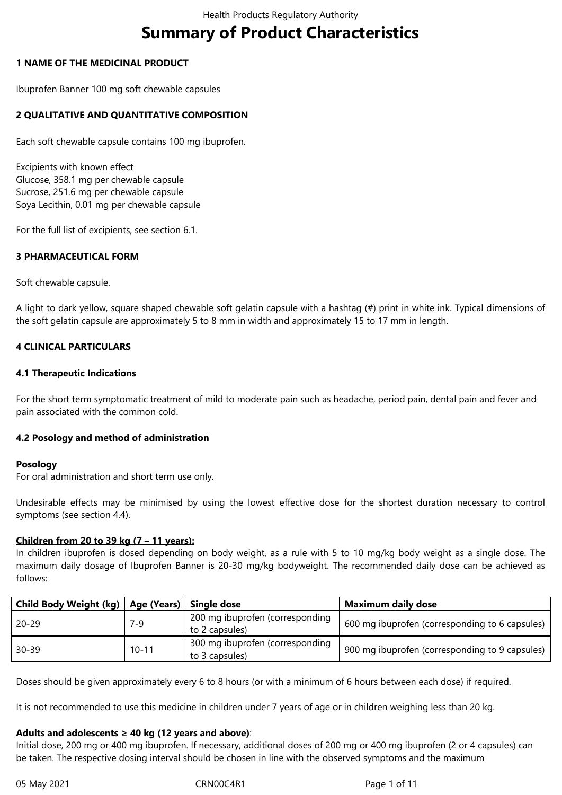# **Summary of Product Characteristics**

## **1 NAME OF THE MEDICINAL PRODUCT**

Ibuprofen Banner 100 mg soft chewable capsules

# **2 QUALITATIVE AND QUANTITATIVE COMPOSITION**

Each soft chewable capsule contains 100 mg ibuprofen.

Excipients with known effect Glucose, 358.1 mg per chewable capsule Sucrose, 251.6 mg per chewable capsule Soya Lecithin, 0.01 mg per chewable capsule

For the full list of excipients, see section 6.1.

# **3 PHARMACEUTICAL FORM**

Soft chewable capsule.

A light to dark yellow, square shaped chewable soft gelatin capsule with a hashtag (#) print in white ink. Typical dimensions of the soft gelatin capsule are approximately 5 to 8 mm in width and approximately 15 to 17 mm in length.

# **4 CLINICAL PARTICULARS**

## **4.1 Therapeutic Indications**

For the short term symptomatic treatment of mild to moderate pain such as headache, period pain, dental pain and fever and pain associated with the common cold.

#### **4.2 Posology and method of administration**

#### **Posology**

For oral administration and short term use only.

Undesirable effects may be minimised by using the lowest effective dose for the shortest duration necessary to control symptoms (see section 4.4).

#### **Children from 20 to 39 kg (7 – 11 years):**

In children ibuprofen is dosed depending on body weight, as a rule with 5 to 10 mg/kg body weight as a single dose. The maximum daily dosage of Ibuprofen Banner is 20-30 mg/kg bodyweight. The recommended daily dose can be achieved as follows:

| Child Body Weight (kg)   Age (Years) |           | Single dose                                       | <b>Maximum daily dose</b>                      |
|--------------------------------------|-----------|---------------------------------------------------|------------------------------------------------|
| $20 - 29$                            | 7-9       | 200 mg ibuprofen (corresponding<br>to 2 capsules) | 600 mg ibuprofen (corresponding to 6 capsules) |
| $30 - 39$                            | $10 - 11$ | 300 mg ibuprofen (corresponding<br>to 3 capsules) | 900 mg ibuprofen (corresponding to 9 capsules) |

Doses should be given approximately every 6 to 8 hours (or with a minimum of 6 hours between each dose) if required.

It is not recommended to use this medicine in children under 7 years of age or in children weighing less than 20 kg.

#### **Adults and adolescents ≥ 40 kg (12 years and above)**:

Initial dose, 200 mg or 400 mg ibuprofen. If necessary, additional doses of 200 mg or 400 mg ibuprofen (2 or 4 capsules) can be taken. The respective dosing interval should be chosen in line with the observed symptoms and the maximum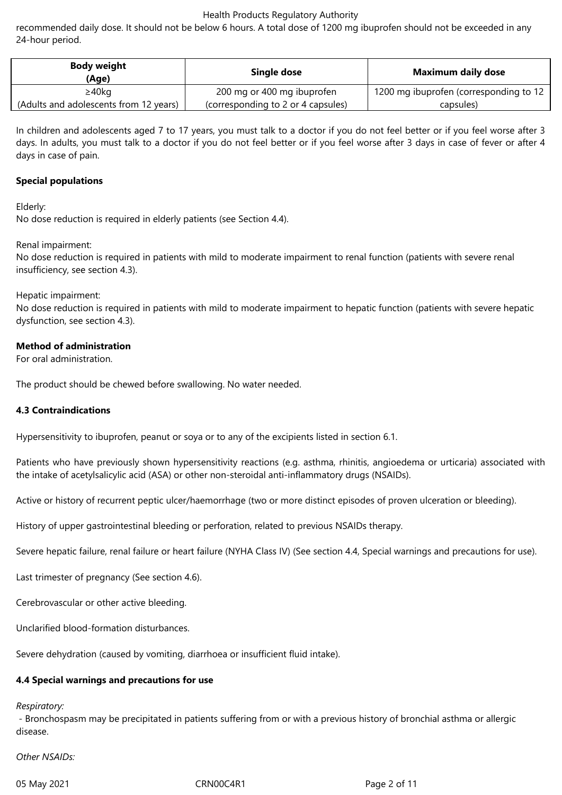recommended daily dose. It should not be below 6 hours. A total dose of 1200 mg ibuprofen should not be exceeded in any 24-hour period.

| <b>Body weight</b><br>(Age)            | Single dose                        | Maximum daily dose                     |
|----------------------------------------|------------------------------------|----------------------------------------|
| ≥40kg                                  | 200 mg or 400 mg ibuprofen         | 1200 mg ibuprofen (corresponding to 12 |
| (Adults and adolescents from 12 years) | (corresponding to 2 or 4 capsules) | capsules)                              |

In children and adolescents aged 7 to 17 years, you must talk to a doctor if you do not feel better or if you feel worse after 3 days. In adults, you must talk to a doctor if you do not feel better or if you feel worse after 3 days in case of fever or after 4 days in case of pain.

#### **Special populations**

Elderly:

No dose reduction is required in elderly patients (see Section 4.4).

Renal impairment:

No dose reduction is required in patients with mild to moderate impairment to renal function (patients with severe renal insufficiency, see section 4.3).

Hepatic impairment:

No dose reduction is required in patients with mild to moderate impairment to hepatic function (patients with severe hepatic dysfunction, see section 4.3).

#### **Method of administration**

For oral administration.

The product should be chewed before swallowing. No water needed.

#### **4.3 Contraindications**

Hypersensitivity to ibuprofen, peanut or soya or to any of the excipients listed in section 6.1.

Patients who have previously shown hypersensitivity reactions (e.g. asthma, rhinitis, angioedema or urticaria) associated with the intake of acetylsalicylic acid (ASA) or other non-steroidal anti-inflammatory drugs (NSAIDs).

Active or history of recurrent peptic ulcer/haemorrhage (two or more distinct episodes of proven ulceration or bleeding).

History of upper gastrointestinal bleeding or perforation, related to previous NSAIDs therapy.

Severe hepatic failure, renal failure or heart failure (NYHA Class IV) (See section 4.4, Special warnings and precautions for use).

Last trimester of pregnancy (See section 4.6).

Cerebrovascular or other active bleeding.

Unclarified blood-formation disturbances.

Severe dehydration (caused by vomiting, diarrhoea or insufficient fluid intake).

#### **4.4 Special warnings and precautions for use**

#### *Respiratory:*

 - Bronchospasm may be precipitated in patients suffering from or with a previous history of bronchial asthma or allergic disease.

*Other NSAIDs:*

05 May 2021 **CRNOOC4R1** CRNOOC4R1 **Page 2 of 11**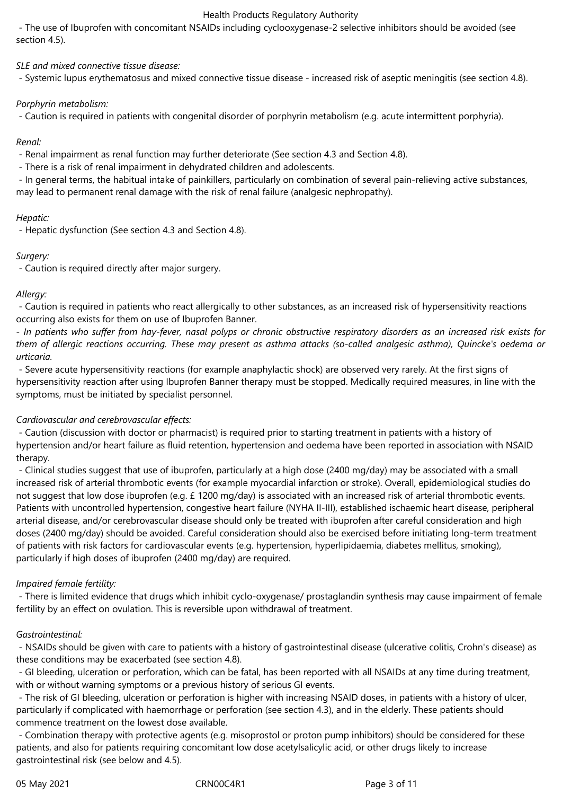- The use of Ibuprofen with concomitant NSAIDs including cyclooxygenase-2 selective inhibitors should be avoided (see section 4.5).

*SLE and mixed connective tissue disease:*

- Systemic lupus erythematosus and mixed connective tissue disease - increased risk of aseptic meningitis (see section 4.8).

## *Porphyrin metabolism:*

- Caution is required in patients with congenital disorder of porphyrin metabolism (e.g. acute intermittent porphyria).

# *Renal:*

- Renal impairment as renal function may further deteriorate (See section 4.3 and Section 4.8).

- There is a risk of renal impairment in dehydrated children and adolescents.

 - In general terms, the habitual intake of painkillers, particularly on combination of several pain-relieving active substances, may lead to permanent renal damage with the risk of renal failure (analgesic nephropathy).

## *Hepatic:*

- Hepatic dysfunction (See section 4.3 and Section 4.8).

# *Surgery:*

- Caution is required directly after major surgery.

## *Allergy:*

 - Caution is required in patients who react allergically to other substances, as an increased risk of hypersensitivity reactions occurring also exists for them on use of Ibuprofen Banner.

- In patients who suffer from hay-fever, nasal polyps or chronic obstructive respiratory disorders as an increased risk exists for them of allergic reactions occurring. These may present as asthma attacks (so-called analgesic asthma), Quincke's oedema or *urticaria.*

 - Severe acute hypersensitivity reactions (for example anaphylactic shock) are observed very rarely. At the first signs of hypersensitivity reaction after using Ibuprofen Banner therapy must be stopped. Medically required measures, in line with the symptoms, must be initiated by specialist personnel.

# *Cardiovascular and cerebrovascular effects:*

 - Caution (discussion with doctor or pharmacist) is required prior to starting treatment in patients with a history of hypertension and/or heart failure as fluid retention, hypertension and oedema have been reported in association with NSAID therapy.

 - Clinical studies suggest that use of ibuprofen, particularly at a high dose (2400 mg/day) may be associated with a small increased risk of arterial thrombotic events (for example myocardial infarction or stroke). Overall, epidemiological studies do not suggest that low dose ibuprofen (e.g. £ 1200 mg/day) is associated with an increased risk of arterial thrombotic events. Patients with uncontrolled hypertension, congestive heart failure (NYHA II-III), established ischaemic heart disease, peripheral arterial disease, and/or cerebrovascular disease should only be treated with ibuprofen after careful consideration and high doses (2400 mg/day) should be avoided. Careful consideration should also be exercised before initiating long-term treatment of patients with risk factors for cardiovascular events (e.g. hypertension, hyperlipidaemia, diabetes mellitus, smoking), particularly if high doses of ibuprofen (2400 mg/day) are required.

# *Impaired female fertility:*

 - There is limited evidence that drugs which inhibit cyclo-oxygenase/ prostaglandin synthesis may cause impairment of female fertility by an effect on ovulation. This is reversible upon withdrawal of treatment.

# *Gastrointestinal:*

 - NSAIDs should be given with care to patients with a history of gastrointestinal disease (ulcerative colitis, Crohn's disease) as these conditions may be exacerbated (see section 4.8).

 - GI bleeding, ulceration or perforation, which can be fatal, has been reported with all NSAIDs at any time during treatment, with or without warning symptoms or a previous history of serious GI events.

 - The risk of GI bleeding, ulceration or perforation is higher with increasing NSAID doses, in patients with a history of ulcer, particularly if complicated with haemorrhage or perforation (see section 4.3), and in the elderly. These patients should commence treatment on the lowest dose available.

 - Combination therapy with protective agents (e.g. misoprostol or proton pump inhibitors) should be considered for these patients, and also for patients requiring concomitant low dose acetylsalicylic acid, or other drugs likely to increase gastrointestinal risk (see below and 4.5).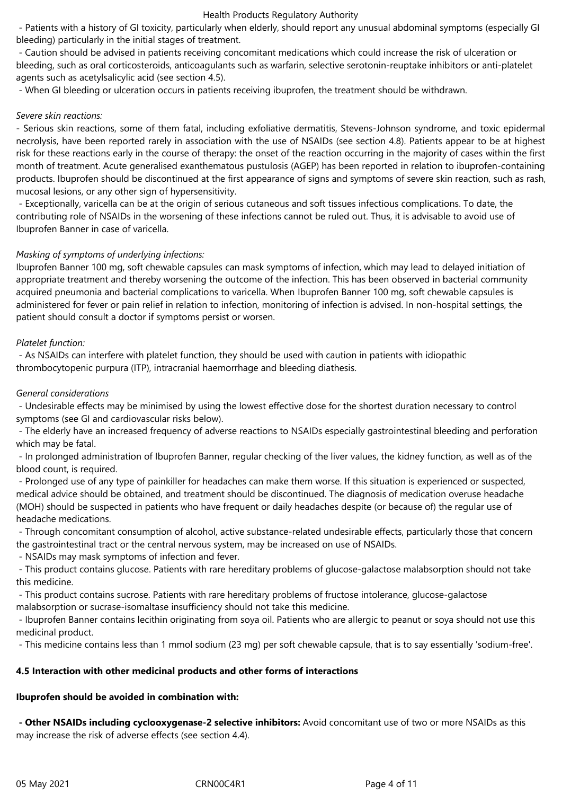- Patients with a history of GI toxicity, particularly when elderly, should report any unusual abdominal symptoms (especially GI bleeding) particularly in the initial stages of treatment.

 - Caution should be advised in patients receiving concomitant medications which could increase the risk of ulceration or bleeding, such as oral corticosteroids, anticoagulants such as warfarin, selective serotonin-reuptake inhibitors or anti-platelet agents such as acetylsalicylic acid (see section 4.5).

- When GI bleeding or ulceration occurs in patients receiving ibuprofen, the treatment should be withdrawn.

#### *Severe skin reactions:*

- Serious skin reactions, some of them fatal, including exfoliative dermatitis, Stevens-Johnson syndrome, and toxic epidermal necrolysis, have been reported rarely in association with the use of NSAIDs (see section 4.8). Patients appear to be at highest risk for these reactions early in the course of therapy: the onset of the reaction occurring in the majority of cases within the first month of treatment. Acute generalised exanthematous pustulosis (AGEP) has been reported in relation to ibuprofen-containing products. Ibuprofen should be discontinued at the first appearance of signs and symptoms of severe skin reaction, such as rash, mucosal lesions, or any other sign of hypersensitivity.

 - Exceptionally, varicella can be at the origin of serious cutaneous and soft tissues infectious complications. To date, the contributing role of NSAIDs in the worsening of these infections cannot be ruled out. Thus, it is advisable to avoid use of Ibuprofen Banner in case of varicella.

# *Masking of symptoms of underlying infections:*

Ibuprofen Banner 100 mg, soft chewable capsules can mask symptoms of infection, which may lead to delayed initiation of appropriate treatment and thereby worsening the outcome of the infection. This has been observed in bacterial community acquired pneumonia and bacterial complications to varicella. When Ibuprofen Banner 100 mg, soft chewable capsules is administered for fever or pain relief in relation to infection, monitoring of infection is advised. In non-hospital settings, the patient should consult a doctor if symptoms persist or worsen.

# *Platelet function:*

 - As NSAIDs can interfere with platelet function, they should be used with caution in patients with idiopathic thrombocytopenic purpura (ITP), intracranial haemorrhage and bleeding diathesis.

# *General considerations*

 - Undesirable effects may be minimised by using the lowest effective dose for the shortest duration necessary to control symptoms (see GI and cardiovascular risks below).

 - The elderly have an increased frequency of adverse reactions to NSAIDs especially gastrointestinal bleeding and perforation which may be fatal.

 - In prolonged administration of Ibuprofen Banner, regular checking of the liver values, the kidney function, as well as of the blood count, is required.

 - Prolonged use of any type of painkiller for headaches can make them worse. If this situation is experienced or suspected, medical advice should be obtained, and treatment should be discontinued. The diagnosis of medication overuse headache (MOH) should be suspected in patients who have frequent or daily headaches despite (or because of) the regular use of headache medications.

 - Through concomitant consumption of alcohol, active substance-related undesirable effects, particularly those that concern the gastrointestinal tract or the central nervous system, may be increased on use of NSAIDs.

- NSAIDs may mask symptoms of infection and fever.

 - This product contains glucose. Patients with rare hereditary problems of glucose-galactose malabsorption should not take this medicine.

 - This product contains sucrose. Patients with rare hereditary problems of fructose intolerance, glucose-galactose malabsorption or sucrase-isomaltase insufficiency should not take this medicine.

 - Ibuprofen Banner contains lecithin originating from soya oil. Patients who are allergic to peanut or soya should not use this medicinal product.

- This medicine contains less than 1 mmol sodium (23 mg) per soft chewable capsule, that is to say essentially 'sodium-free'.

# **4.5 Interaction with other medicinal products and other forms of interactions**

# **Ibuprofen should be avoided in combination with:**

 **- Other NSAIDs including cyclooxygenase-2 selective inhibitors:** Avoid concomitant use of two or more NSAIDs as this may increase the risk of adverse effects (see section 4.4).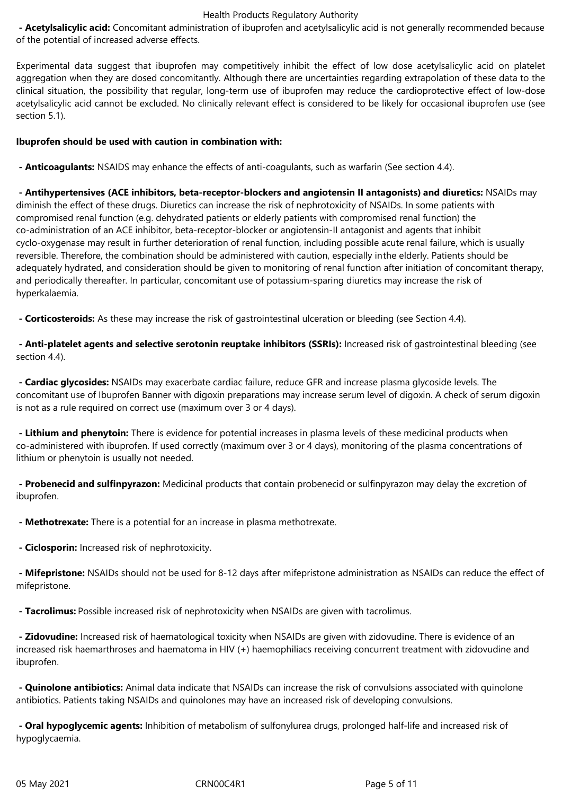**- Acetylsalicylic acid:** Concomitant administration of ibuprofen and acetylsalicylic acid is not generally recommended because of the potential of increased adverse effects.

Experimental data suggest that ibuprofen may competitively inhibit the effect of low dose acetylsalicylic acid on platelet aggregation when they are dosed concomitantly. Although there are uncertainties regarding extrapolation of these data to the clinical situation, the possibility that regular, long-term use of ibuprofen may reduce the cardioprotective effect of low-dose acetylsalicylic acid cannot be excluded. No clinically relevant effect is considered to be likely for occasional ibuprofen use (see section 5.1).

#### **Ibuprofen should be used with caution in combination with:**

 **- Anticoagulants:** NSAIDS may enhance the effects of anti-coagulants, such as warfarin (See section 4.4).

 **- Antihypertensives (ACE inhibitors, beta-receptor-blockers and angiotensin II antagonists) and diuretics:** NSAIDs may diminish the effect of these drugs. Diuretics can increase the risk of nephrotoxicity of NSAIDs. In some patients with compromised renal function (e.g. dehydrated patients or elderly patients with compromised renal function) the co-administration of an ACE inhibitor, beta-receptor-blocker or angiotensin-II antagonist and agents that inhibit cyclo-oxygenase may result in further deterioration of renal function, including possible acute renal failure, which is usually reversible. Therefore, the combination should be administered with caution, especially inthe elderly. Patients should be adequately hydrated, and consideration should be given to monitoring of renal function after initiation of concomitant therapy, and periodically thereafter. In particular, concomitant use of potassium-sparing diuretics may increase the risk of hyperkalaemia.

**- Corticosteroids:** As these may increase the risk of gastrointestinal ulceration or bleeding (see Section 4.4).

 **- Anti-platelet agents and selective serotonin reuptake inhibitors (SSRIs):** Increased risk of gastrointestinal bleeding (see section 4.4).

 **- Cardiac glycosides:** NSAIDs may exacerbate cardiac failure, reduce GFR and increase plasma glycoside levels. The concomitant use of Ibuprofen Banner with digoxin preparations may increase serum level of digoxin. A check of serum digoxin is not as a rule required on correct use (maximum over 3 or 4 days).

 **- Lithium and phenytoin:** There is evidence for potential increases in plasma levels of these medicinal products when co-administered with ibuprofen. If used correctly (maximum over 3 or 4 days), monitoring of the plasma concentrations of lithium or phenytoin is usually not needed.

 **- Probenecid and sulfinpyrazon:** Medicinal products that contain probenecid or sulfinpyrazon may delay the excretion of ibuprofen.

 **- Methotrexate:** There is a potential for an increase in plasma methotrexate.

 **- Ciclosporin:** Increased risk of nephrotoxicity.

 **- Mifepristone:** NSAIDs should not be used for 8-12 days after mifepristone administration as NSAIDs can reduce the effect of mifepristone.

 **- Tacrolimus:** Possible increased risk of nephrotoxicity when NSAIDs are given with tacrolimus.

 **- Zidovudine:** Increased risk of haematological toxicity when NSAIDs are given with zidovudine. There is evidence of an increased risk haemarthroses and haematoma in HIV (+) haemophiliacs receiving concurrent treatment with zidovudine and ibuprofen.

 **- Quinolone antibiotics:** Animal data indicate that NSAIDs can increase the risk of convulsions associated with quinolone antibiotics. Patients taking NSAIDs and quinolones may have an increased risk of developing convulsions.

 **- Oral hypoglycemic agents:** Inhibition of metabolism of sulfonylurea drugs, prolonged half-life and increased risk of hypoglycaemia.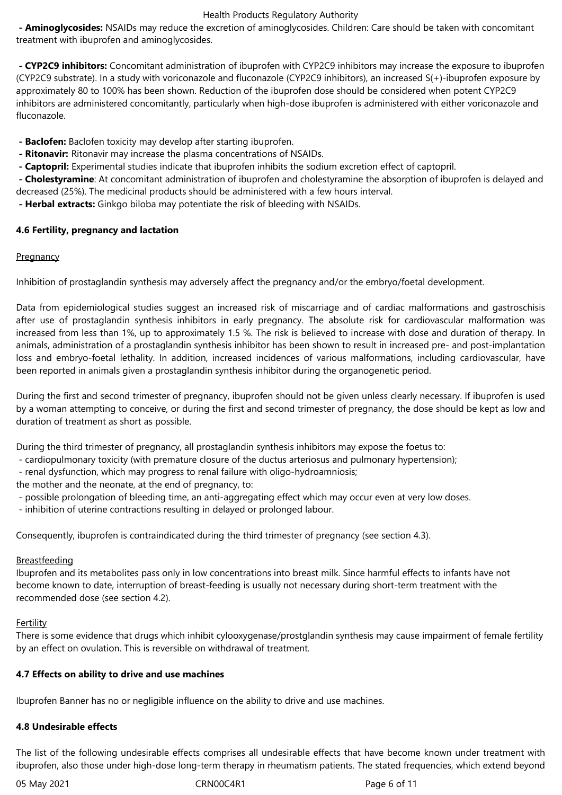**- Aminoglycosides:** NSAIDs may reduce the excretion of aminoglycosides. Children: Care should be taken with concomitant treatment with ibuprofen and aminoglycosides.

 **- CYP2C9 inhibitors:** Concomitant administration of ibuprofen with CYP2C9 inhibitors may increase the exposure to ibuprofen (CYP2C9 substrate). In a study with voriconazole and fluconazole (CYP2C9 inhibitors), an increased S(+)-ibuprofen exposure by approximately 80 to 100% has been shown. Reduction of the ibuprofen dose should be considered when potent CYP2C9 inhibitors are administered concomitantly, particularly when high-dose ibuprofen is administered with either voriconazole and fluconazole.

 **- Baclofen:** Baclofen toxicity may develop after starting ibuprofen.

- **Ritonavir:** Ritonavir may increase the plasma concentrations of NSAIDs.
- **Captopril:** Experimental studies indicate that ibuprofen inhibits the sodium excretion effect of captopril.

 **- Cholestyramine**: At concomitant administration of ibuprofen and cholestyramine the absorption of ibuprofen is delayed and decreased (25%). The medicinal products should be administered with a few hours interval.

 **- Herbal extracts:** Ginkgo biloba may potentiate the risk of bleeding with NSAIDs.

## **4.6 Fertility, pregnancy and lactation**

## **Pregnancy**

Inhibition of prostaglandin synthesis may adversely affect the pregnancy and/or the embryo/foetal development.

Data from epidemiological studies suggest an increased risk of miscarriage and of cardiac malformations and gastroschisis after use of prostaglandin synthesis inhibitors in early pregnancy. The absolute risk for cardiovascular malformation was increased from less than 1%, up to approximately 1.5 %. The risk is believed to increase with dose and duration of therapy. In animals, administration of a prostaglandin synthesis inhibitor has been shown to result in increased pre- and post-implantation loss and embryo-foetal lethality. In addition, increased incidences of various malformations, including cardiovascular, have been reported in animals given a prostaglandin synthesis inhibitor during the organogenetic period.

During the first and second trimester of pregnancy, ibuprofen should not be given unless clearly necessary. If ibuprofen is used by a woman attempting to conceive, or during the first and second trimester of pregnancy, the dose should be kept as low and duration of treatment as short as possible.

During the third trimester of pregnancy, all prostaglandin synthesis inhibitors may expose the foetus to:

- cardiopulmonary toxicity (with premature closure of the ductus arteriosus and pulmonary hypertension);
- renal dysfunction, which may progress to renal failure with oligo-hydroamniosis;

the mother and the neonate, at the end of pregnancy, to:

- possible prolongation of bleeding time, an anti-aggregating effect which may occur even at very low doses.

- inhibition of uterine contractions resulting in delayed or prolonged labour.

Consequently, ibuprofen is contraindicated during the third trimester of pregnancy (see section 4.3).

#### **Breastfeeding**

Ibuprofen and its metabolites pass only in low concentrations into breast milk. Since harmful effects to infants have not become known to date, interruption of breast-feeding is usually not necessary during short-term treatment with the recommended dose (see section 4.2).

#### **Fertility**

There is some evidence that drugs which inhibit cylooxygenase/prostglandin synthesis may cause impairment of female fertility by an effect on ovulation. This is reversible on withdrawal of treatment.

#### **4.7 Effects on ability to drive and use machines**

Ibuprofen Banner has no or negligible influence on the ability to drive and use machines.

#### **4.8 Undesirable effects**

The list of the following undesirable effects comprises all undesirable effects that have become known under treatment with ibuprofen, also those under high-dose long-term therapy in rheumatism patients. The stated frequencies, which extend beyond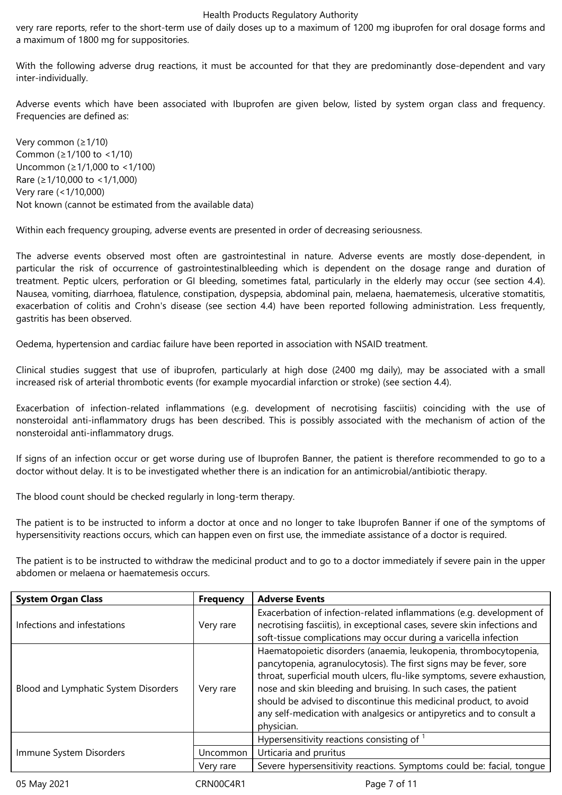very rare reports, refer to the short-term use of daily doses up to a maximum of 1200 mg ibuprofen for oral dosage forms and a maximum of 1800 mg for suppositories.

With the following adverse drug reactions, it must be accounted for that they are predominantly dose-dependent and vary inter-individually.

Adverse events which have been associated with Ibuprofen are given below, listed by system organ class and frequency. Frequencies are defined as:

Very common (≥1/10) Common (≥1/100 to <1/10) Uncommon (≥1/1,000 to <1/100) Rare (≥1/10,000 to <1/1,000) Very rare (<1/10,000) Not known (cannot be estimated from the available data)

Within each frequency grouping, adverse events are presented in order of decreasing seriousness.

The adverse events observed most often are gastrointestinal in nature. Adverse events are mostly dose-dependent, in particular the risk of occurrence of gastrointestinalbleeding which is dependent on the dosage range and duration of treatment. Peptic ulcers, perforation or GI bleeding, sometimes fatal, particularly in the elderly may occur (see section 4.4). Nausea, vomiting, diarrhoea, flatulence, constipation, dyspepsia, abdominal pain, melaena, haematemesis, ulcerative stomatitis, exacerbation of colitis and Crohn's disease (see section 4.4) have been reported following administration. Less frequently, gastritis has been observed.

Oedema, hypertension and cardiac failure have been reported in association with NSAID treatment.

Clinical studies suggest that use of ibuprofen, particularly at high dose (2400 mg daily), may be associated with a small increased risk of arterial thrombotic events (for example myocardial infarction or stroke) (see section 4.4).

Exacerbation of infection-related inflammations (e.g. development of necrotising fasciitis) coinciding with the use of nonsteroidal anti-inflammatory drugs has been described. This is possibly associated with the mechanism of action of the nonsteroidal anti-inflammatory drugs.

If signs of an infection occur or get worse during use of Ibuprofen Banner, the patient is therefore recommended to go to a doctor without delay. It is to be investigated whether there is an indication for an antimicrobial/antibiotic therapy.

The blood count should be checked regularly in long-term therapy.

The patient is to be instructed to inform a doctor at once and no longer to take Ibuprofen Banner if one of the symptoms of hypersensitivity reactions occurs, which can happen even on first use, the immediate assistance of a doctor is required.

The patient is to be instructed to withdraw the medicinal product and to go to a doctor immediately if severe pain in the upper abdomen or melaena or haematemesis occurs.

| <b>System Organ Class</b>            | <b>Frequency</b> | <b>Adverse Events</b>                                                                                                                                                                                                                                                                                                                                                                                                                           |  |  |
|--------------------------------------|------------------|-------------------------------------------------------------------------------------------------------------------------------------------------------------------------------------------------------------------------------------------------------------------------------------------------------------------------------------------------------------------------------------------------------------------------------------------------|--|--|
| Infections and infestations          | Very rare        | Exacerbation of infection-related inflammations (e.g. development of<br>necrotising fasciitis), in exceptional cases, severe skin infections and<br>soft-tissue complications may occur during a varicella infection                                                                                                                                                                                                                            |  |  |
| Blood and Lymphatic System Disorders | Very rare        | Haematopoietic disorders (anaemia, leukopenia, thrombocytopenia,<br>pancytopenia, agranulocytosis). The first signs may be fever, sore<br>throat, superficial mouth ulcers, flu-like symptoms, severe exhaustion,<br>nose and skin bleeding and bruising. In such cases, the patient<br>should be advised to discontinue this medicinal product, to avoid<br>any self-medication with analgesics or antipyretics and to consult a<br>physician. |  |  |
|                                      |                  | Hypersensitivity reactions consisting of 1                                                                                                                                                                                                                                                                                                                                                                                                      |  |  |
| Immune System Disorders              | <b>Uncommon</b>  | Urticaria and pruritus                                                                                                                                                                                                                                                                                                                                                                                                                          |  |  |
|                                      | Very rare        | Severe hypersensitivity reactions. Symptoms could be: facial, tonque                                                                                                                                                                                                                                                                                                                                                                            |  |  |
| 05 May 2021                          | CRN00C4R1        | Page 7 of 11                                                                                                                                                                                                                                                                                                                                                                                                                                    |  |  |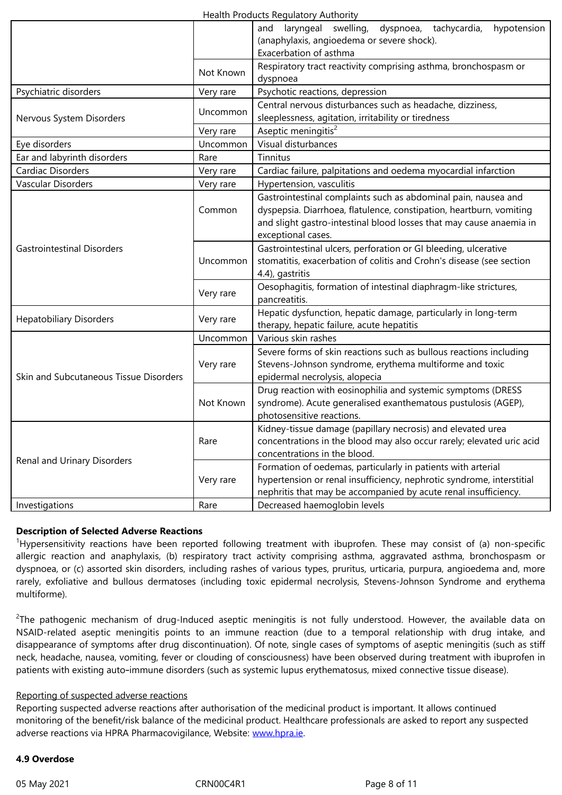|                                        |           | Exacerbation of asthma                                                                                                                |
|----------------------------------------|-----------|---------------------------------------------------------------------------------------------------------------------------------------|
|                                        | Not Known | Respiratory tract reactivity comprising asthma, bronchospasm or                                                                       |
|                                        |           | dyspnoea                                                                                                                              |
| Psychiatric disorders                  | Very rare | Psychotic reactions, depression                                                                                                       |
|                                        |           | Central nervous disturbances such as headache, dizziness,                                                                             |
| Nervous System Disorders               | Uncommon  | sleeplessness, agitation, irritability or tiredness                                                                                   |
|                                        | Very rare | Aseptic meningitis <sup>2</sup>                                                                                                       |
| Eye disorders                          | Uncommon  | Visual disturbances                                                                                                                   |
| Ear and labyrinth disorders            | Rare      | Tinnitus                                                                                                                              |
| Cardiac Disorders                      | Very rare | Cardiac failure, palpitations and oedema myocardial infarction                                                                        |
| Vascular Disorders                     | Very rare | Hypertension, vasculitis                                                                                                              |
|                                        | Common    | Gastrointestinal complaints such as abdominal pain, nausea and<br>dyspepsia. Diarrhoea, flatulence, constipation, heartburn, vomiting |
|                                        |           | and slight gastro-intestinal blood losses that may cause anaemia in                                                                   |
|                                        | Uncommon  | exceptional cases.                                                                                                                    |
| <b>Gastrointestinal Disorders</b>      |           | Gastrointestinal ulcers, perforation or GI bleeding, ulcerative                                                                       |
|                                        |           | stomatitis, exacerbation of colitis and Crohn's disease (see section                                                                  |
|                                        | Very rare | 4.4), gastritis                                                                                                                       |
|                                        |           | Oesophagitis, formation of intestinal diaphragm-like strictures,                                                                      |
|                                        |           | pancreatitis.                                                                                                                         |
| <b>Hepatobiliary Disorders</b>         | Very rare | Hepatic dysfunction, hepatic damage, particularly in long-term                                                                        |
|                                        |           | therapy, hepatic failure, acute hepatitis                                                                                             |
|                                        | Uncommon  | Various skin rashes                                                                                                                   |
|                                        | Very rare | Severe forms of skin reactions such as bullous reactions including                                                                    |
|                                        |           | Stevens-Johnson syndrome, erythema multiforme and toxic                                                                               |
| Skin and Subcutaneous Tissue Disorders | Not Known | epidermal necrolysis, alopecia                                                                                                        |
|                                        |           | Drug reaction with eosinophilia and systemic symptoms (DRESS                                                                          |
|                                        |           | syndrome). Acute generalised exanthematous pustulosis (AGEP),                                                                         |
|                                        |           | photosensitive reactions.                                                                                                             |
|                                        | Rare      | Kidney-tissue damage (papillary necrosis) and elevated urea                                                                           |
|                                        |           | concentrations in the blood may also occur rarely; elevated uric acid<br>concentrations in the blood.                                 |
| Renal and Urinary Disorders            |           |                                                                                                                                       |
|                                        | Very rare | Formation of oedemas, particularly in patients with arterial<br>hypertension or renal insufficiency, nephrotic syndrome, interstitial |
|                                        |           | nephritis that may be accompanied by acute renal insufficiency.                                                                       |
| Investigations                         | Rare      | Decreased haemoglobin levels                                                                                                          |
|                                        |           |                                                                                                                                       |

#### **Description of Selected Adverse Reactions**

<sup>1</sup>Hypersensitivity reactions have been reported following treatment with ibuprofen. These may consist of (a) non-specific allergic reaction and anaphylaxis, (b) respiratory tract activity comprising asthma, aggravated asthma, bronchospasm or dyspnoea, or (c) assorted skin disorders, including rashes of various types, pruritus, urticaria, purpura, angioedema and, more rarely, exfoliative and bullous dermatoses (including toxic epidermal necrolysis, Stevens-Johnson Syndrome and erythema multiforme).

 $^2$ The pathogenic mechanism of drug-Induced aseptic meningitis is not fully understood. However, the available data on NSAID-related aseptic meningitis points to an immune reaction (due to a temporal relationship with drug intake, and disappearance of symptoms after drug discontinuation). Of note, single cases of symptoms of aseptic meningitis (such as stiff neck, headache, nausea, vomiting, fever or clouding of consciousness) have been observed during treatment with ibuprofen in patients with existing auto-immune disorders (such as systemic lupus erythematosus, mixed connective tissue disease).

#### Reporting of suspected adverse reactions

Reporting suspected adverse reactions after authorisation of the medicinal product is important. It allows continued monitoring of the benefit/risk balance of the medicinal product. Healthcare professionals are asked to report any suspected adverse reactions via HPRA Pharmacovigilance, Website: www.hpra.ie.

# **4.9 Overdose**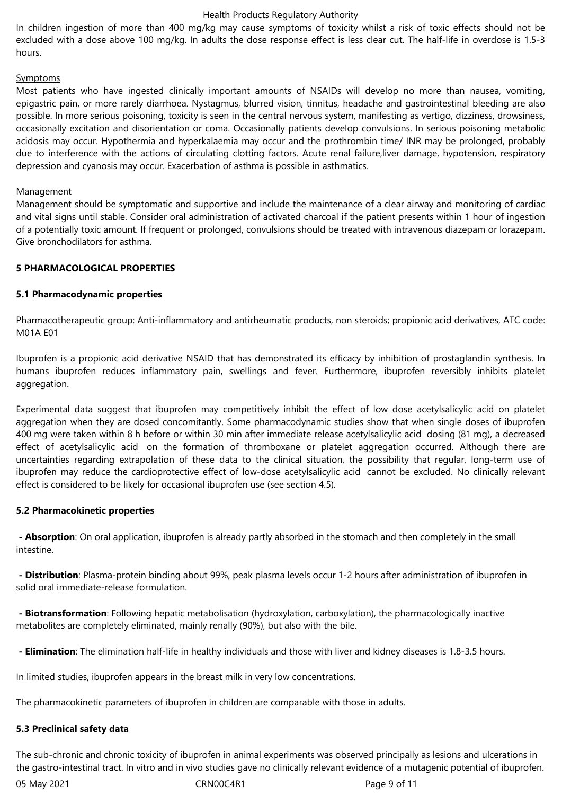In children ingestion of more than 400 mg/kg may cause symptoms of toxicity whilst a risk of toxic effects should not be excluded with a dose above 100 mg/kg. In adults the dose response effect is less clear cut. The half-life in overdose is 1.5-3 hours.

#### Symptoms

Most patients who have ingested clinically important amounts of NSAIDs will develop no more than nausea, vomiting, epigastric pain, or more rarely diarrhoea. Nystagmus, blurred vision, tinnitus, headache and gastrointestinal bleeding are also possible. In more serious poisoning, toxicity is seen in the central nervous system, manifesting as vertigo, dizziness, drowsiness, occasionally excitation and disorientation or coma. Occasionally patients develop convulsions. In serious poisoning metabolic acidosis may occur. Hypothermia and hyperkalaemia may occur and the prothrombin time/ INR may be prolonged, probably due to interference with the actions of circulating clotting factors. Acute renal failure,liver damage, hypotension, respiratory depression and cyanosis may occur. Exacerbation of asthma is possible in asthmatics.

#### **Management**

Management should be symptomatic and supportive and include the maintenance of a clear airway and monitoring of cardiac and vital signs until stable. Consider oral administration of activated charcoal if the patient presents within 1 hour of ingestion of a potentially toxic amount. If frequent or prolonged, convulsions should be treated with intravenous diazepam or lorazepam. Give bronchodilators for asthma.

#### **5 PHARMACOLOGICAL PROPERTIES**

#### **5.1 Pharmacodynamic properties**

Pharmacotherapeutic group: Anti-inflammatory and antirheumatic products, non steroids; propionic acid derivatives, ATC code: M01A E01

Ibuprofen is a propionic acid derivative NSAID that has demonstrated its efficacy by inhibition of prostaglandin synthesis. In humans ibuprofen reduces inflammatory pain, swellings and fever. Furthermore, ibuprofen reversibly inhibits platelet aggregation.

Experimental data suggest that ibuprofen may competitively inhibit the effect of low dose acetylsalicylic acid on platelet aggregation when they are dosed concomitantly. Some pharmacodynamic studies show that when single doses of ibuprofen 400 mg were taken within 8 h before or within 30 min after immediate release acetylsalicylic acid dosing (81 mg), a decreased effect of acetylsalicylic acid on the formation of thromboxane or platelet aggregation occurred. Although there are uncertainties regarding extrapolation of these data to the clinical situation, the possibility that regular, long-term use of ibuprofen may reduce the cardioprotective effect of low-dose acetylsalicylic acid cannot be excluded. No clinically relevant effect is considered to be likely for occasional ibuprofen use (see section 4.5).

#### **5.2 Pharmacokinetic properties**

 **- Absorption**: On oral application, ibuprofen is already partly absorbed in the stomach and then completely in the small intestine.

 **- Distribution**: Plasma-protein binding about 99%, peak plasma levels occur 1-2 hours after administration of ibuprofen in solid oral immediate-release formulation.

 **- Biotransformation**: Following hepatic metabolisation (hydroxylation, carboxylation), the pharmacologically inactive metabolites are completely eliminated, mainly renally (90%), but also with the bile.

 **- Elimination**: The elimination half-life in healthy individuals and those with liver and kidney diseases is 1.8-3.5 hours.

In limited studies, ibuprofen appears in the breast milk in very low concentrations.

The pharmacokinetic parameters of ibuprofen in children are comparable with those in adults.

#### **5.3 Preclinical safety data**

The sub-chronic and chronic toxicity of ibuprofen in animal experiments was observed principally as lesions and ulcerations in the gastro-intestinal tract. In vitro and in vivo studies gave no clinically relevant evidence of a mutagenic potential of ibuprofen.

05 May 2021 **CRNOOC4R1** CRNOOC4R1 **Page 9 of 11**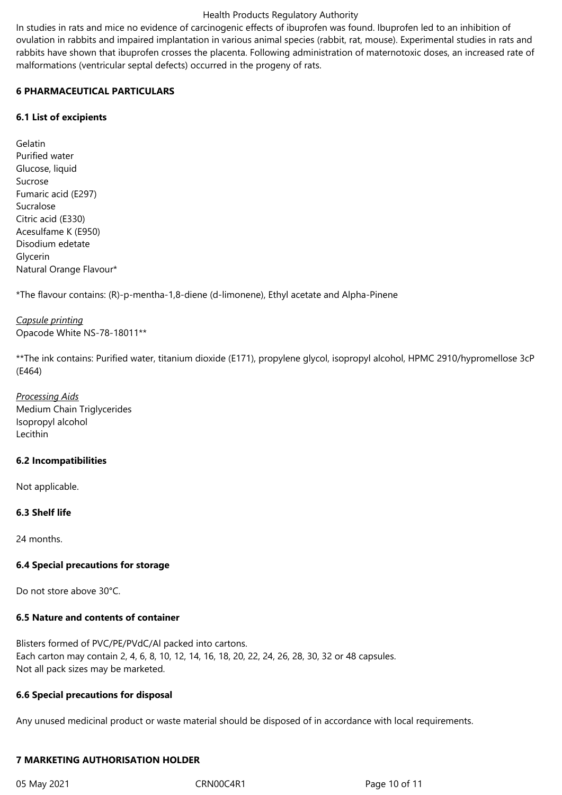In studies in rats and mice no evidence of carcinogenic effects of ibuprofen was found. Ibuprofen led to an inhibition of ovulation in rabbits and impaired implantation in various animal species (rabbit, rat, mouse). Experimental studies in rats and rabbits have shown that ibuprofen crosses the placenta. Following administration of maternotoxic doses, an increased rate of malformations (ventricular septal defects) occurred in the progeny of rats.

# **6 PHARMACEUTICAL PARTICULARS**

## **6.1 List of excipients**

Gelatin Purified water Glucose, liquid Sucrose Fumaric acid (E297) Sucralose Citric acid (E330) Acesulfame K (E950) Disodium edetate Glycerin Natural Orange Flavour\*

\*The flavour contains: (R)-p-mentha-1,8-diene (d-limonene), Ethyl acetate and Alpha-Pinene

# *Capsule printing* Opacode White NS-78-18011\*\*

\*\*The ink contains: Purified water, titanium dioxide (E171), propylene glycol, isopropyl alcohol, HPMC 2910/hypromellose 3cP (E464)

*Processing Aids* Medium Chain Triglycerides Isopropyl alcohol Lecithin

# **6.2 Incompatibilities**

Not applicable.

# **6.3 Shelf life**

24 months.

#### **6.4 Special precautions for storage**

Do not store above 30°C.

# **6.5 Nature and contents of container**

Blisters formed of PVC/PE/PVdC/Al packed into cartons. Each carton may contain 2, 4, 6, 8, 10, 12, 14, 16, 18, 20, 22, 24, 26, 28, 30, 32 or 48 capsules. Not all pack sizes may be marketed.

#### **6.6 Special precautions for disposal**

Any unused medicinal product or waste material should be disposed of in accordance with local requirements.

# **7 MARKETING AUTHORISATION HOLDER**

05 May 2021 CRN00C4R1 Page 10 of 11